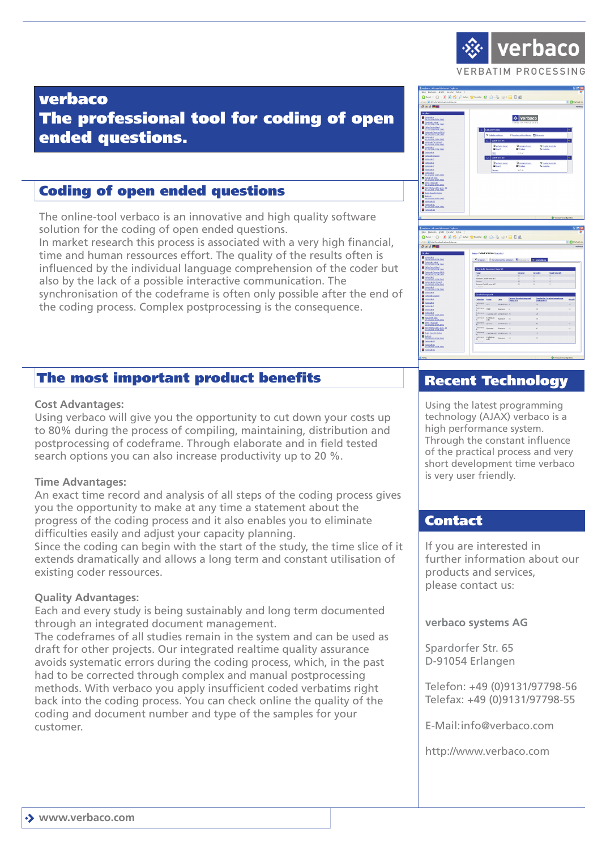

# verbaco The professional tool for coding of open ended questions.

# Coding of open ended questions

The online-tool verbaco is an innovative and high quality software solution for the coding of open ended questions.

In market research this process is associated with a very high financial, time and human ressources effort. The quality of the results often is influenced by the individual language comprehension of the coder but also by the lack of a possible interactive communication. The synchronisation of the codeframe is often only possible after the end of the coding process. Complex postprocessing is the consequence.

## The most important product benefits

### **Cost Advantages:**

Using verbaco will give you the opportunity to cut down your costs up to 80% during the process of compiling, maintaining, distribution and postprocessing of codeframe. Through elaborate and in field tested search options you can also increase productivity up to 20 %.

### **Time Advantages:**

An exact time record and analysis of all steps of the coding process gives you the opportunity to make at any time a statement about the progress of the coding process and it also enables you to eliminate difficulties easily and adjust your capacity planning.

Since the coding can begin with the start of the study, the time slice of it extends dramatically and allows a long term and constant utilisation of existing coder ressources.

### **Quality Advantages:**

Each and every study is being sustainably and long term documented through an integrated document management.

The codeframes of all studies remain in the system and can be used as draft for other projects. Our integrated realtime quality assurance avoids systematic errors during the coding process, which, in the past had to be corrected through complex and manual postprocessing methods. With verbaco you apply insufficient coded verbatims right back into the coding process. You can check online the quality of the coding and document number and type of the samples for your customer.





# Recent Technology

Using the latest programming technology (AJAX) verbaco is a high performance system. Through the constant influence of the practical process and very short development time verbaco is very user friendly.

## **Contact**

If you are interested in further information about our products and services, please contact us:

#### **verbaco systems AG**

Spardorfer Str. 65 D-91054 Erlangen

Telefon: +49 (0)9131/97798-56 Telefax: +49 (0)9131/97798-55

E-Mail:info@verbaco.com

http://www.verbaco.com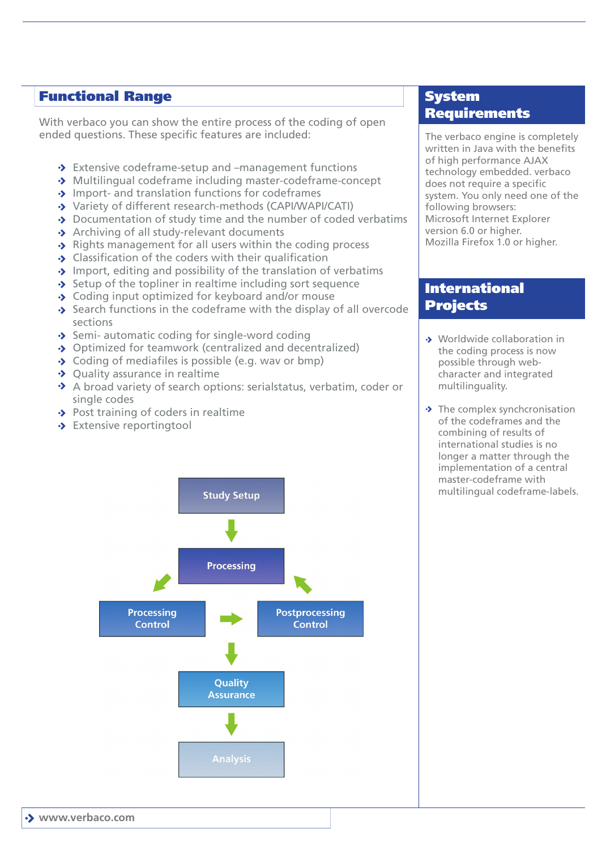## Functional Range

With verbaco you can show the entire process of the coding of open ended questions. These specific features are included:

- ◆ Extensive codeframe-setup and –management functions
- Multilingual codeframe including master-codeframe-concept
- $\rightarrow$  Import- and translation functions for codeframes
- Variety of different research-methods (CAPI/WAPI/CATI)
- ◆ Documentation of study time and the number of coded verbatims
- $\rightarrow$  Archiving of all study-relevant documents
- $\rightarrow$  Rights management for all users within the coding process
- $\rightarrow$  Classification of the coders with their qualification
- $\rightarrow$  Import, editing and possibility of the translation of verbatims
- $\rightarrow$  Setup of the topliner in realtime including sort sequence
- ◆ Coding input optimized for keyboard and/or mouse
- $\rightarrow$  Search functions in the codeframe with the display of all overcode sections
- $\rightarrow$  Semi- automatic coding for single-word coding
- ◆ Optimized for teamwork (centralized and decentralized)
- $\rightarrow$  Coding of mediafiles is possible (e.g. wav or bmp)
- $\rightarrow$  Quality assurance in realtime
- A broad variety of search options: serialstatus, verbatim, coder or single codes
- $\rightarrow$  Post training of coders in realtime
- Stensive reportingtool



# System Requirements

The verbaco engine is completely written in Java with the benefits of high performance AJAX technology embedded. verbaco does not require a specific system. You only need one of the following browsers: Microsoft Internet Explorer version 6.0 or higher. Mozilla Firefox 1.0 or higher.

## International Projects

- Worldwide collaboration in the coding process is now possible through webcharacter and integrated multilinguality.
- $\rightarrow$  The complex synchcronisation of the codeframes and the combining of results of international studies is no longer a matter through the implementation of a central master-codeframe with multilingual codeframe-labels.